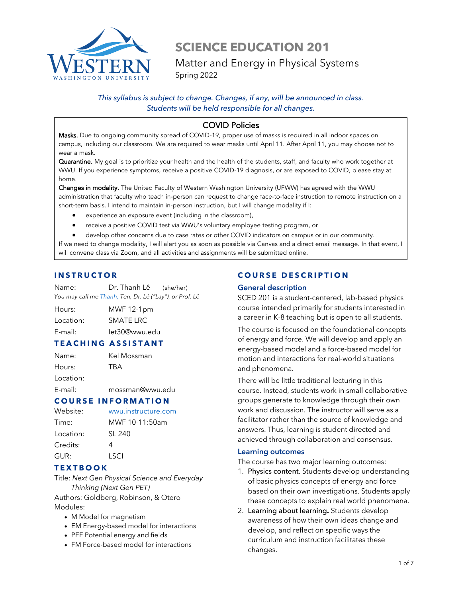

# **SCIENCE EDUCATION 201** Matter and Energy in Physical Systems

Spring 2022

# *This syllabus is subject to change. Changes, if any, will be announced in class. Students will be held responsible for all changes.*

# COVID Policies

Masks. Due to ongoing community spread of COVID-19, proper use of masks is required in all indoor spaces on campus, including our classroom. We are required to wear masks until April 11. After April 11, you may choose not to wear a mask.

Quarantine. My goal is to prioritize your health and the health of the students, staff, and faculty who work together at WWU. If you experience symptoms, receive a positive COVID-19 diagnosis, or are exposed to COVID, please stay at home.

Changes in modality. The United Faculty of Western Washington University (UFWW) has agreed with the WWU administration that faculty who teach in-person can request to change face-to-face instruction to remote instruction on a short-term basis. I intend to maintain in-person instruction, but I will change modality if I:

- experience an exposure event (including in the classroom),
- receive a positive COVID test via WWU's voluntary employee testing program, or

• develop other concerns due to case rates or other COVID indicators on campus or in our community. If we need to change modality, I will alert you as soon as possible via Canvas and a direct email message. In that event, I will convene class via Zoom, and all activities and assignments will be submitted online.

# **INSTRUCTOR**

Name: Dr. Thanh Lê (she/her) *You may call me Thanh, Ten, Dr. Lê ("Lay"), or Prof. Lê*

ossman

| Hours:    | MWF 12-1pm    |
|-----------|---------------|
| Location: | SMATE LRC     |
| E-mail:   | let30@wwu.edu |

# **TEACHING ASSISTANT**

| Name:     | Kel M |
|-----------|-------|
| Hours:    | TBA   |
| Location: |       |

E-mail: mossman@wwu.edu

#### **COURSE INFORMATION**

| Website:  | wwu.instructure.com |
|-----------|---------------------|
| Time:     | MWF 10-11:50am      |
| Location: | SL 240              |
| Credits:  | Δ                   |
| GUR:      | I SCI               |
|           |                     |

# **TEXT BOOK**

Title: *Next Gen Physical Science and Everyday Thinking (Next Gen PET)* Authors: Goldberg, Robinson, & Otero Modules:

- M Model for magnetism
- EM Energy-based model for interactions
- PEF Potential energy and fields
- FM Force-based model for interactions

# **COURSE DESCRIPTION**

#### **General description**

SCED 201 is a student-centered, lab-based physics course intended primarily for students interested in a career in K-8 teaching but is open to all students.

The course is focused on the foundational concepts of energy and force. We will develop and apply an energy-based model and a force-based model for motion and interactions for real-world situations and phenomena.

There will be little traditional lecturing in this course. Instead, students work in small collaborative groups generate to knowledge through their own work and discussion. The instructor will serve as a facilitator rather than the source of knowledge and answers. Thus, learning is student directed and achieved through collaboration and consensus.

#### **Learning outcomes**

The course has two major learning outcomes:

- 1. Physics content. Students develop understanding of basic physics concepts of energy and force based on their own investigations. Students apply these concepts to explain real world phenomena.
- 2. Learning about learning**.** Students develop awareness of how their own ideas change and develop, and reflect on specific ways the curriculum and instruction facilitates these changes.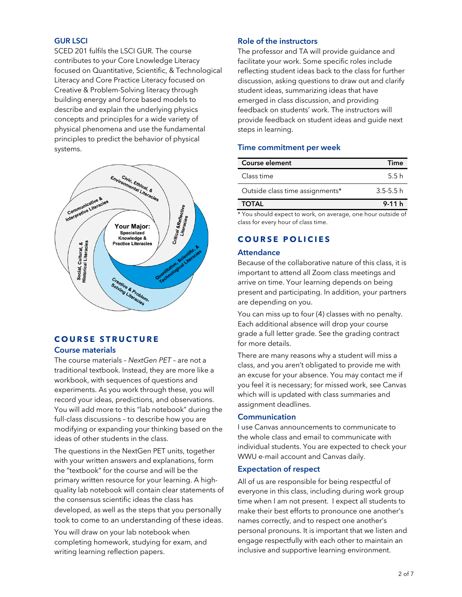#### **GUR LSCI**

SCED 201 fulfils the LSCI GUR. The course contributes to your Core Lnowledge Literacy focused on Quantitative, Scientific, & Technological Literacy and Core Practice Literacy focused on Creative & Problem-Solving literacy through building energy and force based models to describe and explain the underlying physics concepts and principles for a wide variety of physical phenomena and use the fundamental principles to predict the behavior of physical systems.



# **COURSE STRUCTURE**

#### **Course materials**

The course materials – *NextGen PET* – are not a traditional textbook. Instead, they are more like a workbook, with sequences of questions and experiments. As you work through these, you will record your ideas, predictions, and observations. You will add more to this "lab notebook" during the full-class discussions – to describe how you are modifying or expanding your thinking based on the ideas of other students in the class.

The questions in the NextGen PET units, together with your written answers and explanations, form the "textbook" for the course and will be the primary written resource for your learning. A highquality lab notebook will contain clear statements of the consensus scientific ideas the class has developed, as well as the steps that you personally took to come to an understanding of these ideas.

You will draw on your lab notebook when completing homework, studying for exam, and writing learning reflection papers.

#### **Role of the instructors**

The professor and TA will provide guidance and facilitate your work. Some specific roles include reflecting student ideas back to the class for further discussion, asking questions to draw out and clarify student ideas, summarizing ideas that have emerged in class discussion, and providing feedback on students' work. The instructors will provide feedback on student ideas and guide next steps in learning.

#### **Time commitment per week**

| Course element                  | Time          |
|---------------------------------|---------------|
| Class time                      | 5.5 h         |
| Outside class time assignments* | $3.5 - 5.5 h$ |
| <b>TOTAL</b>                    | $9-11h$       |

\* You should expect to work, on average, one hour outside of class for every hour of class time.

# **C OURSE POLICIES**

#### **Attendance**

Because of the collaborative nature of this class, it is important to attend all Zoom class meetings and arrive on time. Your learning depends on being present and participating. In addition, your partners are depending on you.

You can miss up to four (4) classes with no penalty. Each additional absence will drop your course grade a full letter grade. See the grading contract for more details.

There are many reasons why a student will miss a class, and you aren't obligated to provide me with an excuse for your absence. You may contact me if you feel it is necessary; for missed work, see Canvas which will is updated with class summaries and assignment deadlines.

#### **Communication**

I use Canvas announcements to communicate to the whole class and email to communicate with individual students. You are expected to check your WWU e-mail account and Canvas daily.

#### **Expectation of respect**

All of us are responsible for being respectful of everyone in this class, including during work group time when I am not present. I expect all students to make their best efforts to pronounce one another's names correctly, and to respect one another's personal pronouns. It is important that we listen and engage respectfully with each other to maintain an inclusive and supportive learning environment.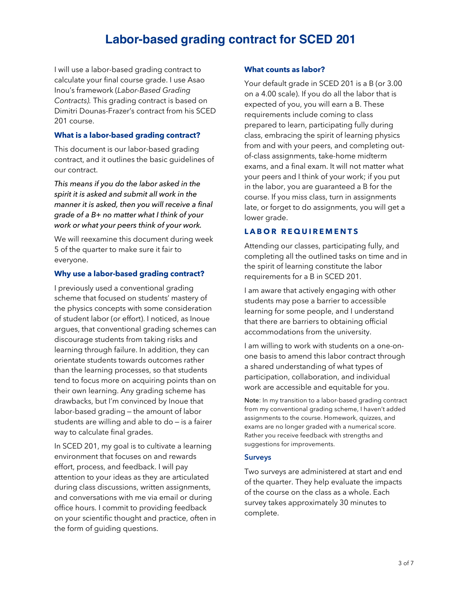# **Labor-based grading contract for SCED 201**

I will use a labor-based grading contract to calculate your final course grade. I use Asao Inou's framework (*Labor-Based Grading Contracts).* This grading contract is based on Dimitri Dounas-Frazer's contract from his SCED 201 course.

#### **What is a labor-based grading contract?**

This document is our labor-based grading contract, and it outlines the basic guidelines of our contract.

*This means if you do the labor asked in the spirit it is asked and submit all work in the manner it is asked, then you will receive a final grade of a B+ no matter what I think of your work or what your peers think of your work.*

We will reexamine this document during week 5 of the quarter to make sure it fair to everyone.

#### **Why use a labor-based grading contract?**

I previously used a conventional grading scheme that focused on students' mastery of the physics concepts with some consideration of student labor (or effort). I noticed, as Inoue argues, that conventional grading schemes can discourage students from taking risks and learning through failure. In addition, they can orientate students towards outcomes rather than the learning processes, so that students tend to focus more on acquiring points than on their own learning. Any grading scheme has drawbacks, but I'm convinced by Inoue that labor-based grading – the amount of labor students are willing and able to do – is a fairer way to calculate final grades.

In SCED 201, my goal is to cultivate a learning environment that focuses on and rewards effort, process, and feedback. I will pay attention to your ideas as they are articulated during class discussions, written assignments, and conversations with me via email or during office hours. I commit to providing feedback on your scientific thought and practice, often in the form of guiding questions.

#### **What counts as labor?**

Your default grade in SCED 201 is a B (or 3.00 on a 4.00 scale). If you do all the labor that is expected of you, you will earn a B. These requirements include coming to class prepared to learn, participating fully during class, embracing the spirit of learning physics from and with your peers, and completing outof-class assignments, take-home midterm exams, and a final exam. It will not matter what your peers and I think of your work; if you put in the labor, you are guaranteed a B for the course. If you miss class, turn in assignments late, or forget to do assignments, you will get a lower grade.

#### **LABOR REQUIREMENTS**

Attending our classes, participating fully, and completing all the outlined tasks on time and in the spirit of learning constitute the labor requirements for a B in SCED 201.

I am aware that actively engaging with other students may pose a barrier to accessible learning for some people, and I understand that there are barriers to obtaining official accommodations from the university.

I am willing to work with students on a one-onone basis to amend this labor contract through a shared understanding of what types of participation, collaboration, and individual work are accessible and equitable for you.

Note: In my transition to a labor-based grading contract from my conventional grading scheme, I haven't added assignments to the course. Homework, quizzes, and exams are no longer graded with a numerical score. Rather you receive feedback with strengths and suggestions for improvements.

#### **Surveys**

Two surveys are administered at start and end of the quarter. They help evaluate the impacts of the course on the class as a whole. Each survey takes approximately 30 minutes to complete.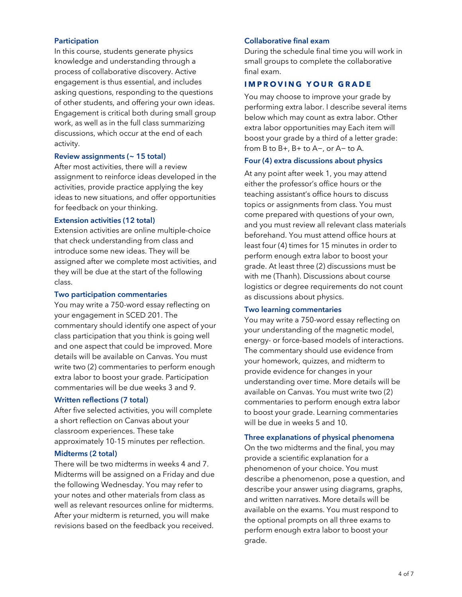#### **Participation**

In this course, students generate physics knowledge and understanding through a process of collaborative discovery. Active engagement is thus essential, and includes asking questions, responding to the questions of other students, and offering your own ideas. Engagement is critical both during small group work, as well as in the full class summarizing discussions, which occur at the end of each activity.

#### **Review assignments (~ 15 total)**

After most activities, there will a review assignment to reinforce ideas developed in the activities, provide practice applying the key ideas to new situations, and offer opportunities for feedback on your thinking.

#### **Extension activities (12 total)**

Extension activities are online multiple-choice that check understanding from class and introduce some new ideas. They will be assigned after we complete most activities, and they will be due at the start of the following class.

#### **Two participation commentaries**

You may write a 750-word essay reflecting on your engagement in SCED 201. The commentary should identify one aspect of your class participation that you think is going well and one aspect that could be improved. More details will be available on Canvas. You must write two (2) commentaries to perform enough extra labor to boost your grade. Participation commentaries will be due weeks 3 and 9.

#### **Written reflections (7 total)**

After five selected activities, you will complete a short reflection on Canvas about your classroom experiences. These take approximately 10-15 minutes per reflection.

#### **Midterms (2 total)**

There will be two midterms in weeks 4 and 7. Midterms will be assigned on a Friday and due the following Wednesday. You may refer to your notes and other materials from class as well as relevant resources online for midterms. After your midterm is returned, you will make revisions based on the feedback you received.

#### **Collaborative final exam**

During the schedule final time you will work in small groups to complete the collaborative final exam.

#### **I MPROVING YOUR GRADE**

You may choose to improve your grade by performing extra labor. I describe several items below which may count as extra labor. Other extra labor opportunities may Each item will boost your grade by a third of a letter grade: from B to B+, B+ to A−, or A− to A.

#### **Four (4) extra discussions about physics**

At any point after week 1, you may attend either the professor's office hours or the teaching assistant's office hours to discuss topics or assignments from class. You must come prepared with questions of your own, and you must review all relevant class materials beforehand. You must attend office hours at least four (4) times for 15 minutes in order to perform enough extra labor to boost your grade. At least three (2) discussions must be with me (Thanh). Discussions about course logistics or degree requirements do not count as discussions about physics.

#### **Two learning commentaries**

You may write a 750-word essay reflecting on your understanding of the magnetic model, energy- or force-based models of interactions. The commentary should use evidence from your homework, quizzes, and midterm to provide evidence for changes in your understanding over time. More details will be available on Canvas. You must write two (2) commentaries to perform enough extra labor to boost your grade. Learning commentaries will be due in weeks 5 and 10.

#### **Three explanations of physical phenomena**

On the two midterms and the final, you may provide a scientific explanation for a phenomenon of your choice. You must describe a phenomenon, pose a question, and describe your answer using diagrams, graphs, and written narratives. More details will be available on the exams. You must respond to the optional prompts on all three exams to perform enough extra labor to boost your grade.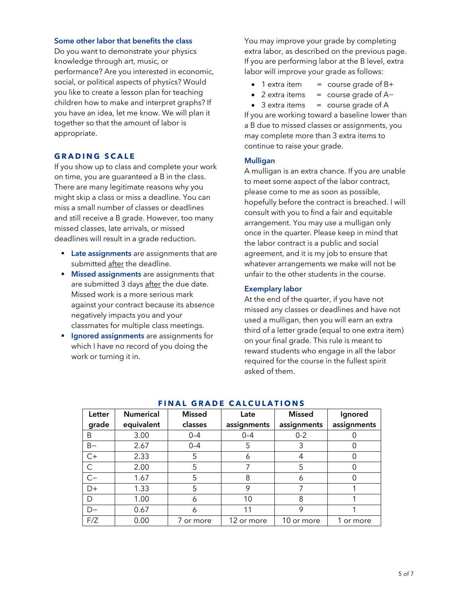#### **Some other labor that benefits the class**

Do you want to demonstrate your physics knowledge through art, music, or performance? Are you interested in economic, social, or political aspects of physics? Would you like to create a lesson plan for teaching children how to make and interpret graphs? If you have an idea, let me know. We will plan it together so that the amount of labor is appropriate.

#### **GRADING SCALE**

If you show up to class and complete your work on time, you are guaranteed a B in the class. There are many legitimate reasons why you might skip a class or miss a deadline. You can miss a small number of classes or deadlines and still receive a B grade. However, too many missed classes, late arrivals, or missed deadlines will result in a grade reduction.

- **Late assignments** are assignments that are submitted after the deadline.
- § **Missed assignments** are assignments that are submitted 3 days after the due date. Missed work is a more serious mark against your contract because its absence negatively impacts you and your classmates for multiple class meetings.
- **Ignored assignments** are assignments for which I have no record of you doing the work or turning it in.

You may improve your grade by completing extra labor, as described on the previous page. If you are performing labor at the B level, extra labor will improve your grade as follows:

- 1 extra item  $=$  course grade of B+
- 2 extra items = course grade of A−
- $\bullet$  3 extra items  $=$  course grade of A

If you are working toward a baseline lower than a B due to missed classes or assignments, you may complete more than 3 extra items to continue to raise your grade.

#### **Mulligan**

A mulligan is an extra chance. If you are unable to meet some aspect of the labor contract, please come to me as soon as possible, hopefully before the contract is breached. I will consult with you to find a fair and equitable arrangement. You may use a mulligan only once in the quarter. Please keep in mind that the labor contract is a public and social agreement, and it is my job to ensure that whatever arrangements we make will not be unfair to the other students in the course.

#### **Exemplary labor**

At the end of the quarter, if you have not missed any classes or deadlines and have not used a mulligan, then you will earn an extra third of a letter grade (equal to one extra item) on your final grade. This rule is meant to reward students who engage in all the labor required for the course in the fullest spirit asked of them.

| Letter | <b>Numerical</b> | <b>Missed</b> | Late        | Missed      | Ignored     |
|--------|------------------|---------------|-------------|-------------|-------------|
| grade  | equivalent       | classes       | assignments | assignments | assignments |
| B      | 3.00             | $0 - 4$       | $0 - 4$     | $0 - 2$     |             |
| $B -$  | 2.67             | $0 - 4$       | 5           | 3           |             |
| $C+$   | 2.33             | 5             | 6           |             |             |
| C      | 2.00             | 5             |             | 5           |             |
| $C-$   | 1.67             | 5             | 8           | 6           | O           |
| $D+$   | 1.33             | 5             | 9           |             |             |
| D      | 1.00             | 6             | 10          | 8           |             |
| $D-$   | 0.67             | 6             | 11          | 9           |             |
| F/Z    | 0.00             | 7 or more     | 12 or more  | 10 or more  | 1 or more   |

#### **FINAL GRADE CALCULATIONS**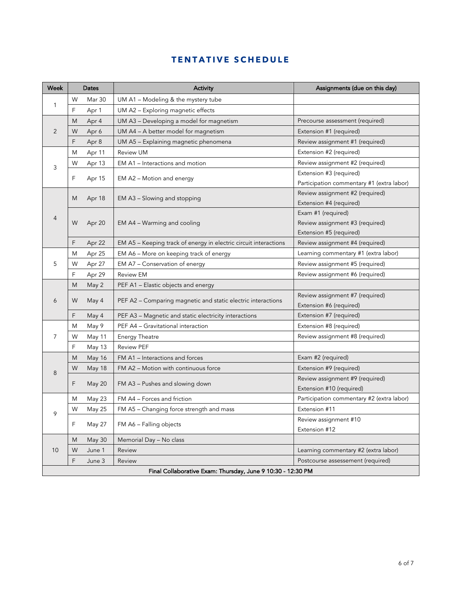# **TENTATIVE SCHEDULE**

| Week                                                        | Dates<br>Activity                                  |               |                                                                                  | Assignments (due on this day)             |  |
|-------------------------------------------------------------|----------------------------------------------------|---------------|----------------------------------------------------------------------------------|-------------------------------------------|--|
|                                                             | W                                                  | Mar 30        | UM A1 - Modeling & the mystery tube                                              |                                           |  |
| 1                                                           | F                                                  | Apr 1         | UM A2 - Exploring magnetic effects                                               |                                           |  |
|                                                             | M                                                  | Apr 4         | UM A3 - Developing a model for magnetism                                         | Precourse assessment (required)           |  |
| 2                                                           | UM A4 - A better model for magnetism<br>W<br>Apr 6 |               |                                                                                  | Extension #1 (required)                   |  |
|                                                             | F                                                  | Apr 8         | UM A5 - Explaining magnetic phenomena                                            | Review assignment #1 (required)           |  |
|                                                             | M                                                  | Apr 11        | <b>Review UM</b>                                                                 | Extension #2 (required)                   |  |
| 3                                                           | W                                                  | Apr 13        | EM A1 - Interactions and motion                                                  | Review assignment #2 (required)           |  |
|                                                             | F                                                  | Apr 15        |                                                                                  | Extension #3 (required)                   |  |
|                                                             |                                                    |               | EM A2 - Motion and energy                                                        | Participation commentary #1 (extra labor) |  |
|                                                             | M                                                  | Apr 18        | EM A3 – Slowing and stopping                                                     | Review assignment #2 (required)           |  |
|                                                             |                                                    |               |                                                                                  | Extension #4 (required)                   |  |
| 4                                                           |                                                    |               |                                                                                  | Exam #1 (required)                        |  |
|                                                             | W                                                  | Apr 20        | EM A4 - Warming and cooling                                                      | Review assignment #3 (required)           |  |
|                                                             |                                                    |               |                                                                                  | Extension #5 (required)                   |  |
|                                                             | F                                                  | Apr 22        | EM A5 - Keeping track of energy in electric circuit interactions                 | Review assignment #4 (required)           |  |
|                                                             | M                                                  | Apr 25        | EM A6 – More on keeping track of energy                                          | Learning commentary #1 (extra labor)      |  |
|                                                             | 5<br>W<br>Apr 27<br>EM A7 – Conservation of energy |               |                                                                                  | Review assignment #5 (required)           |  |
|                                                             | F                                                  | Apr 29        | <b>Review EM</b>                                                                 | Review assignment #6 (required)           |  |
|                                                             | M                                                  | May 2         | PEF A1 – Elastic objects and energy                                              |                                           |  |
| 6                                                           | W                                                  | May 4         | PEF A2 – Comparing magnetic and static electric interactions                     | Review assignment #7 (required)           |  |
|                                                             |                                                    |               |                                                                                  | Extension #6 (required)                   |  |
|                                                             | F                                                  | May 4         | Extension #7 (required)<br>PEF A3 – Magnetic and static electricity interactions |                                           |  |
|                                                             | M                                                  | May 9         | PEF A4 - Gravitational interaction                                               | Extension #8 (required)                   |  |
| $\overline{7}$                                              | W                                                  | May 11        | <b>Energy Theatre</b>                                                            | Review assignment #8 (required)           |  |
|                                                             | F                                                  | May 13        | <b>Review PEF</b>                                                                |                                           |  |
|                                                             | M                                                  | May 16        | FM A1 - Interactions and forces                                                  | Exam #2 (required)                        |  |
| 8                                                           | W                                                  | May 18        | FM A2 - Motion with continuous force                                             | Extension #9 (required)                   |  |
|                                                             | F                                                  |               | FM A3 - Pushes and slowing down                                                  | Review assignment #9 (required)           |  |
|                                                             |                                                    | May 20        |                                                                                  | Extension #10 (required)                  |  |
|                                                             | M                                                  | May 23        | FM A4 - Forces and friction                                                      | Participation commentary #2 (extra labor) |  |
| 9                                                           | W                                                  | May 25        | FM A5 - Changing force strength and mass                                         | Extension #11                             |  |
|                                                             | F                                                  | May 27        |                                                                                  | Review assignment #10                     |  |
|                                                             |                                                    |               | FM A6 - Falling objects                                                          | Extension #12                             |  |
|                                                             | M                                                  | <b>May 30</b> | Memorial Day - No class                                                          |                                           |  |
| 10                                                          | W                                                  | June 1        | Review                                                                           | Learning commentary #2 (extra labor)      |  |
|                                                             | F                                                  | June 3        | Review                                                                           | Postcourse assessement (required)         |  |
| Final Collaborative Exam: Thursday, June 9 10:30 - 12:30 PM |                                                    |               |                                                                                  |                                           |  |